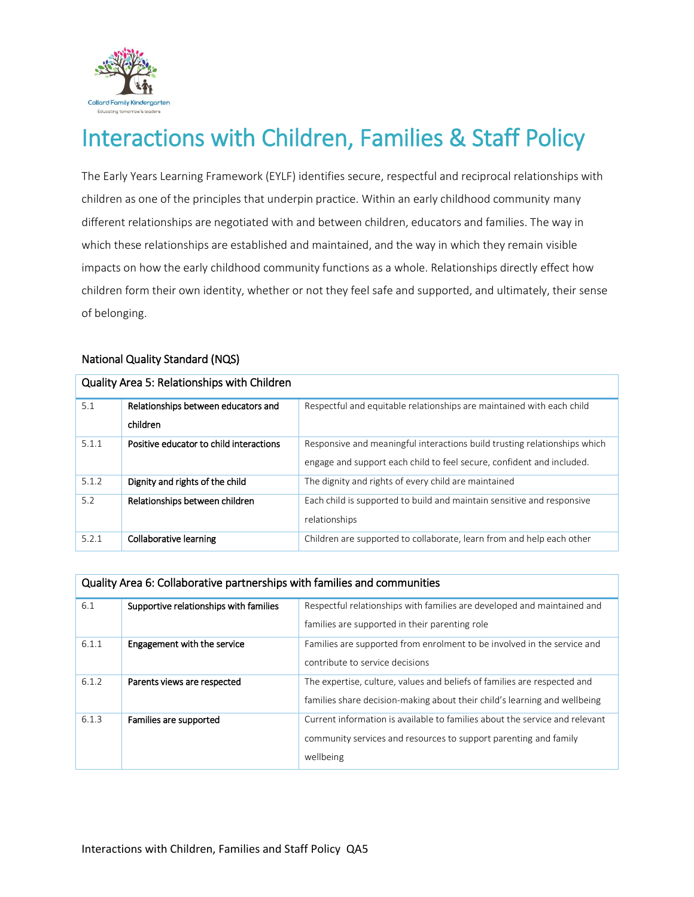

# Interactions with Children, Families & Staff Policy

The Early Years Learning Framework (EYLF) identifies secure, respectful and reciprocal relationships with children as one of the principles that underpin practice. Within an early childhood community many different relationships are negotiated with and between children, educators and families. The way in which these relationships are established and maintained, and the way in which they remain visible impacts on how the early childhood community functions as a whole. Relationships directly effect how children form their own identity, whether or not they feel safe and supported, and ultimately, their sense of belonging.

#### National Quality Standard (NQS)

| 5.1   | Relationships between educators and     | Respectful and equitable relationships are maintained with each child     |
|-------|-----------------------------------------|---------------------------------------------------------------------------|
|       | children                                |                                                                           |
| 5.1.1 | Positive educator to child interactions | Responsive and meaningful interactions build trusting relationships which |
|       |                                         | engage and support each child to feel secure, confident and included.     |
| 5.1.2 | Dignity and rights of the child         | The dignity and rights of every child are maintained                      |
| 5.2   | Relationships between children          | Each child is supported to build and maintain sensitive and responsive    |
|       |                                         | relationships                                                             |
| 5.2.1 | Collaborative learning                  | Children are supported to collaborate, learn from and help each other     |

#### Quality Area 5: Relationships with Children

#### Quality Area 6: Collaborative partnerships with families and communities

| 6.1   | Supportive relationships with families | Respectful relationships with families are developed and maintained and     |  |
|-------|----------------------------------------|-----------------------------------------------------------------------------|--|
|       |                                        | families are supported in their parenting role                              |  |
| 6.1.1 | Engagement with the service            | Families are supported from enrolment to be involved in the service and     |  |
|       |                                        | contribute to service decisions                                             |  |
| 6.1.2 | Parents views are respected            | The expertise, culture, values and beliefs of families are respected and    |  |
|       |                                        | families share decision-making about their child's learning and wellbeing   |  |
| 6.1.3 | Families are supported                 | Current information is available to families about the service and relevant |  |
|       |                                        | community services and resources to support parenting and family            |  |
|       |                                        | wellbeing                                                                   |  |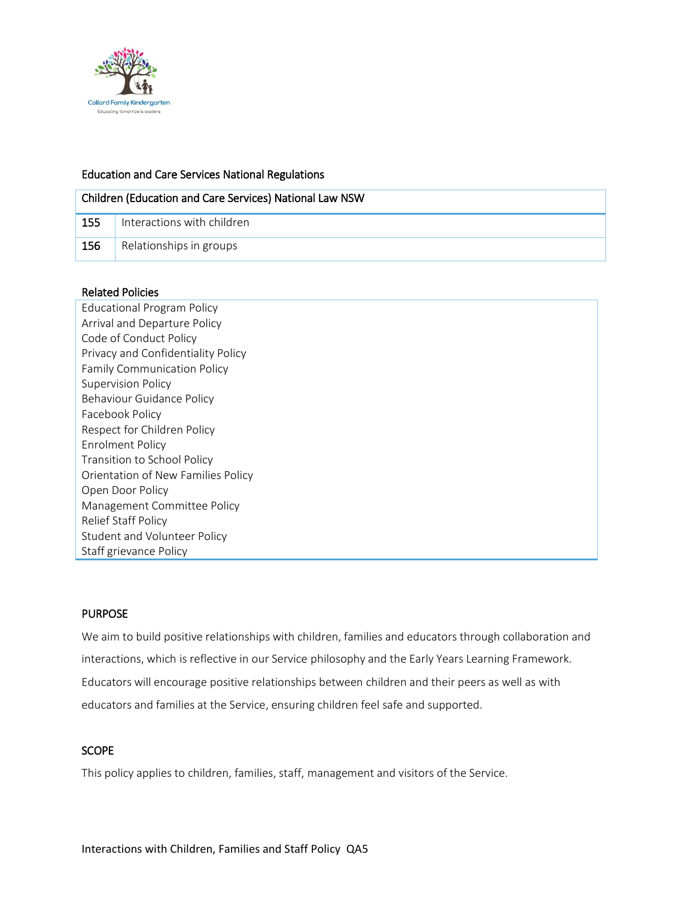

#### Education and Care Services National Regulations

| Children (Education and Care Services) National Law NSW |                            |  |  |
|---------------------------------------------------------|----------------------------|--|--|
| 155                                                     | Interactions with children |  |  |
| 156                                                     | Relationships in groups    |  |  |

#### Related Policies

Educational Program Policy Arrival and Departure Policy Code of Conduct Policy Privacy and Confidentiality Policy Family Communication Policy Supervision Policy Behaviour Guidance Policy Facebook Policy Respect for Children Policy Enrolment Policy Transition to School Policy Orientation of New Families Policy Open Door Policy Management Committee Policy Relief Staff Policy Student and Volunteer Policy Staff grievance Policy

## PURPOSE

We aim to build positive relationships with children, families and educators through collaboration and interactions, which is reflective in our Service philosophy and the Early Years Learning Framework. Educators will encourage positive relationships between children and their peers as well as with educators and families at the Service, ensuring children feel safe and supported.

## **SCOPE**

This policy applies to children, families, staff, management and visitors of the Service.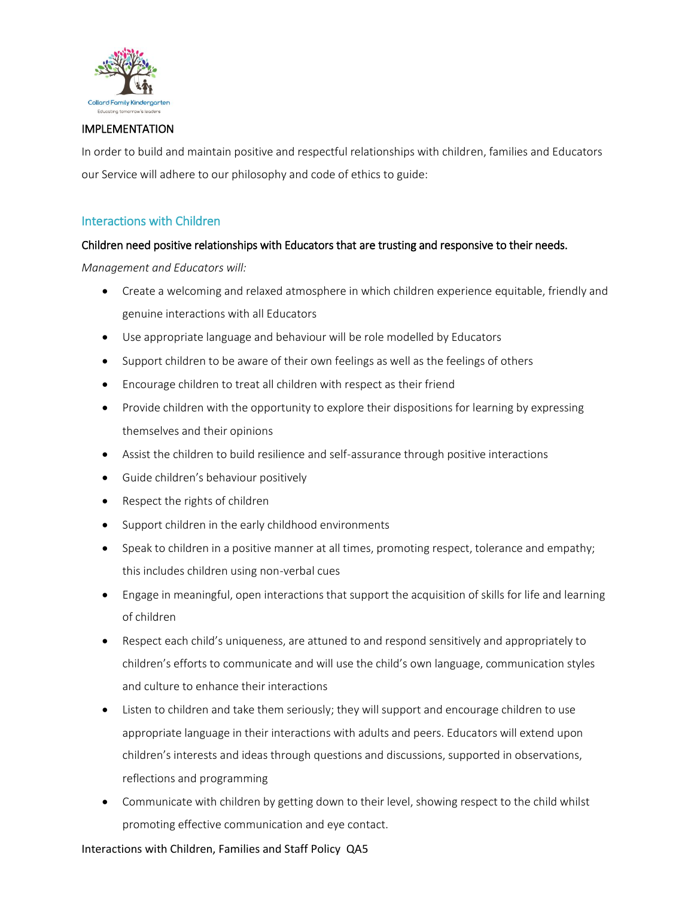

#### IMPLEMENTATION

In order to build and maintain positive and respectful relationships with children, families and Educators our Service will adhere to our philosophy and code of ethics to guide:

#### Interactions with Children

#### Children need positive relationships with Educators that are trusting and responsive to their needs.

*Management and Educators will:*

- Create a welcoming and relaxed atmosphere in which children experience equitable, friendly and genuine interactions with all Educators
- Use appropriate language and behaviour will be role modelled by Educators
- Support children to be aware of their own feelings as well as the feelings of others
- Encourage children to treat all children with respect as their friend
- Provide children with the opportunity to explore their dispositions for learning by expressing themselves and their opinions
- Assist the children to build resilience and self-assurance through positive interactions
- Guide children's behaviour positively
- Respect the rights of children
- Support children in the early childhood environments
- Speak to children in a positive manner at all times, promoting respect, tolerance and empathy; this includes children using non-verbal cues
- Engage in meaningful, open interactions that support the acquisition of skills for life and learning of children
- Respect each child's uniqueness, are attuned to and respond sensitively and appropriately to children's efforts to communicate and will use the child's own language, communication styles and culture to enhance their interactions
- Listen to children and take them seriously; they will support and encourage children to use appropriate language in their interactions with adults and peers. Educators will extend upon children's interests and ideas through questions and discussions, supported in observations, reflections and programming
- Communicate with children by getting down to their level, showing respect to the child whilst promoting effective communication and eye contact.

#### Interactions with Children, Families and Staff Policy QA5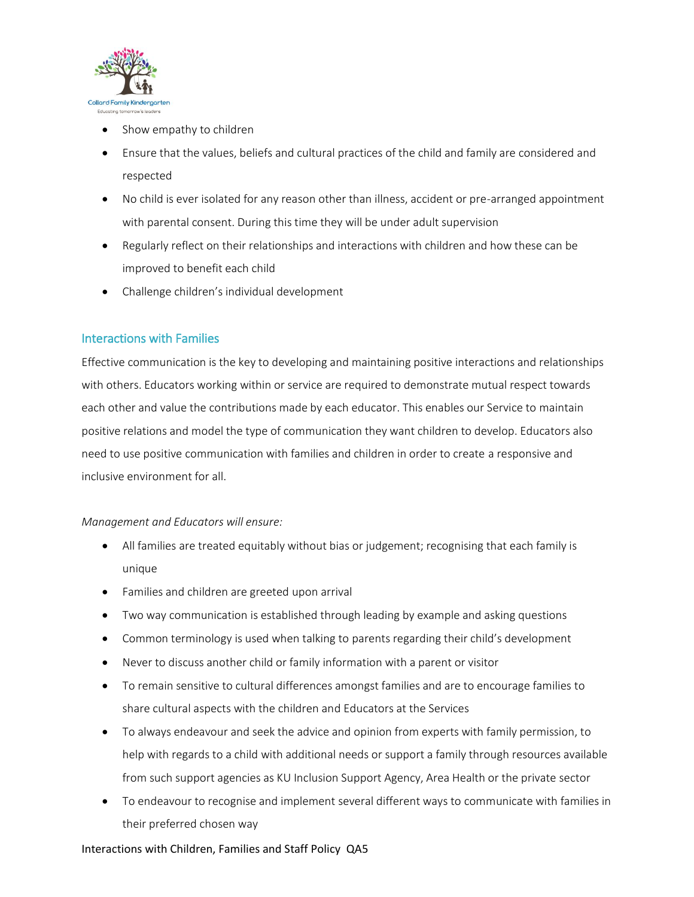

- Show empathy to children
- Ensure that the values, beliefs and cultural practices of the child and family are considered and respected
- No child is ever isolated for any reason other than illness, accident or pre-arranged appointment with parental consent. During this time they will be under adult supervision
- Regularly reflect on their relationships and interactions with children and how these can be improved to benefit each child
- Challenge children's individual development

#### Interactions with Families

Effective communication is the key to developing and maintaining positive interactions and relationships with others. Educators working within or service are required to demonstrate mutual respect towards each other and value the contributions made by each educator. This enables our Service to maintain positive relations and model the type of communication they want children to develop. Educators also need to use positive communication with families and children in order to create a responsive and inclusive environment for all.

#### *Management and Educators will ensure:*

- All families are treated equitably without bias or judgement; recognising that each family is unique
- Families and children are greeted upon arrival
- Two way communication is established through leading by example and asking questions
- Common terminology is used when talking to parents regarding their child's development
- Never to discuss another child or family information with a parent or visitor
- To remain sensitive to cultural differences amongst families and are to encourage families to share cultural aspects with the children and Educators at the Services
- To always endeavour and seek the advice and opinion from experts with family permission, to help with regards to a child with additional needs or support a family through resources available from such support agencies as KU Inclusion Support Agency, Area Health or the private sector
- To endeavour to recognise and implement several different ways to communicate with families in their preferred chosen way

#### Interactions with Children, Families and Staff Policy QA5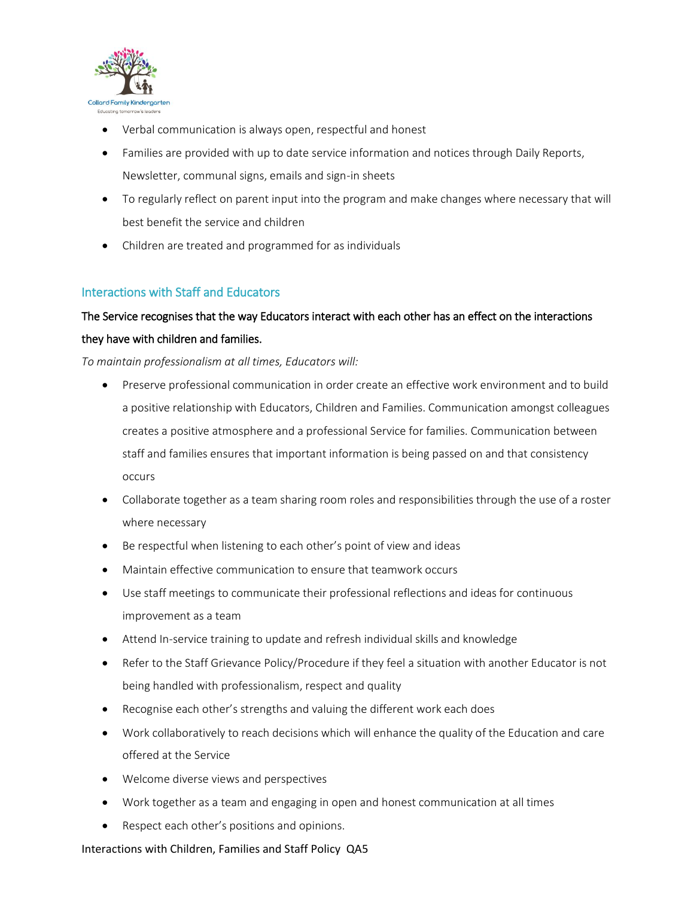

- Verbal communication is always open, respectful and honest
- Families are provided with up to date service information and notices through Daily Reports, Newsletter, communal signs, emails and sign-in sheets
- To regularly reflect on parent input into the program and make changes where necessary that will best benefit the service and children
- Children are treated and programmed for as individuals

# Interactions with Staff and Educators

# The Service recognises that the way Educators interact with each other has an effect on the interactions they have with children and families.

*To maintain professionalism at all times, Educators will:* 

- Preserve professional communication in order create an effective work environment and to build a positive relationship with Educators, Children and Families. Communication amongst colleagues creates a positive atmosphere and a professional Service for families. Communication between staff and families ensures that important information is being passed on and that consistency occurs
- Collaborate together as a team sharing room roles and responsibilities through the use of a roster where necessary
- Be respectful when listening to each other's point of view and ideas
- Maintain effective communication to ensure that teamwork occurs
- Use staff meetings to communicate their professional reflections and ideas for continuous improvement as a team
- Attend In-service training to update and refresh individual skills and knowledge
- Refer to the Staff Grievance Policy/Procedure if they feel a situation with another Educator is not being handled with professionalism, respect and quality
- Recognise each other's strengths and valuing the different work each does
- Work collaboratively to reach decisions which will enhance the quality of the Education and care offered at the Service
- Welcome diverse views and perspectives
- Work together as a team and engaging in open and honest communication at all times
- Respect each other's positions and opinions.

#### Interactions with Children, Families and Staff Policy QA5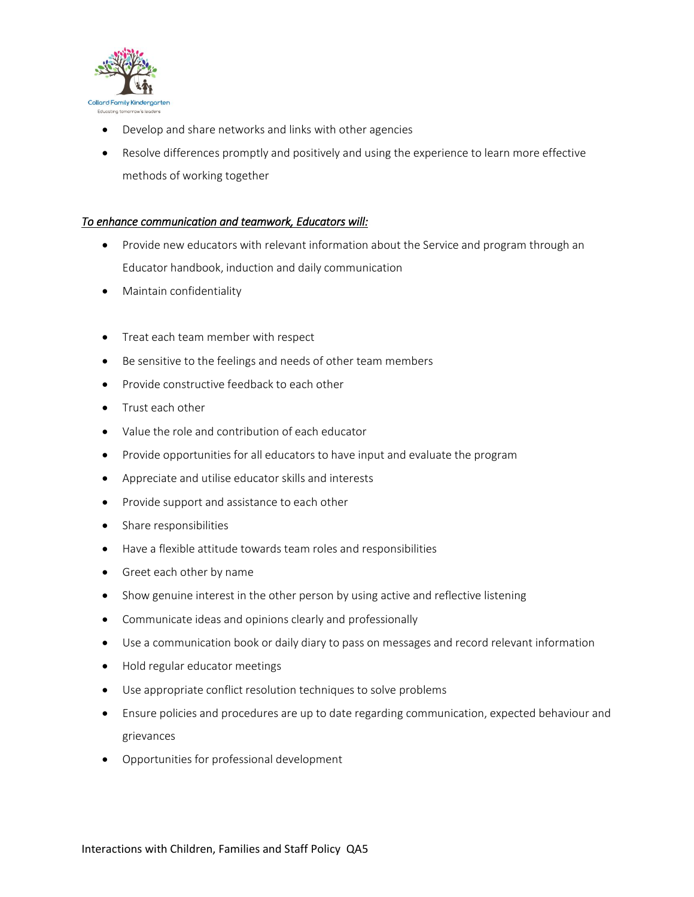

- Develop and share networks and links with other agencies
- Resolve differences promptly and positively and using the experience to learn more effective methods of working together

#### *To enhance communication and teamwork, Educators will:*

- Provide new educators with relevant information about the Service and program through an Educator handbook, induction and daily communication
- Maintain confidentiality
- Treat each team member with respect
- Be sensitive to the feelings and needs of other team members
- Provide constructive feedback to each other
- Trust each other
- Value the role and contribution of each educator
- Provide opportunities for all educators to have input and evaluate the program
- Appreciate and utilise educator skills and interests
- Provide support and assistance to each other
- Share responsibilities
- Have a flexible attitude towards team roles and responsibilities
- Greet each other by name
- Show genuine interest in the other person by using active and reflective listening
- Communicate ideas and opinions clearly and professionally
- Use a communication book or daily diary to pass on messages and record relevant information
- Hold regular educator meetings
- Use appropriate conflict resolution techniques to solve problems
- Ensure policies and procedures are up to date regarding communication, expected behaviour and grievances
- Opportunities for professional development